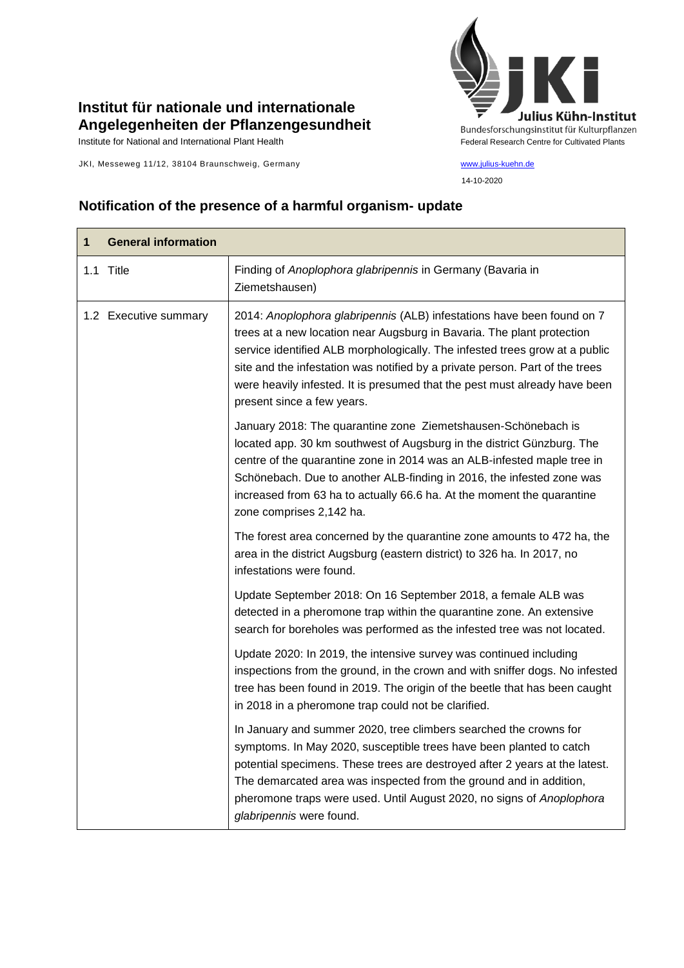## **Institut für nationale und internationale Angelegenheiten der Pflanzengesundheit**

JKI, Messeweg 11/12, 38104 Braunschweig, Germany [www.julius-kuehn.de](http://www.julius-kuehn.de/)



14-10-2020

## **Notification of the presence of a harmful organism- update**

| 1 | <b>General information</b> |                                                                                                                                                                                                                                                                                                                                                                                                                             |
|---|----------------------------|-----------------------------------------------------------------------------------------------------------------------------------------------------------------------------------------------------------------------------------------------------------------------------------------------------------------------------------------------------------------------------------------------------------------------------|
|   | 1.1 Title                  | Finding of Anoplophora glabripennis in Germany (Bavaria in<br>Ziemetshausen)                                                                                                                                                                                                                                                                                                                                                |
|   | 1.2 Executive summary      | 2014: Anoplophora glabripennis (ALB) infestations have been found on 7<br>trees at a new location near Augsburg in Bavaria. The plant protection<br>service identified ALB morphologically. The infested trees grow at a public<br>site and the infestation was notified by a private person. Part of the trees<br>were heavily infested. It is presumed that the pest must already have been<br>present since a few years. |
|   |                            | January 2018: The quarantine zone Ziemetshausen-Schönebach is<br>located app. 30 km southwest of Augsburg in the district Günzburg. The<br>centre of the quarantine zone in 2014 was an ALB-infested maple tree in<br>Schönebach. Due to another ALB-finding in 2016, the infested zone was<br>increased from 63 ha to actually 66.6 ha. At the moment the quarantine<br>zone comprises 2,142 ha.                           |
|   |                            | The forest area concerned by the quarantine zone amounts to 472 ha, the<br>area in the district Augsburg (eastern district) to 326 ha. In 2017, no<br>infestations were found.                                                                                                                                                                                                                                              |
|   |                            | Update September 2018: On 16 September 2018, a female ALB was<br>detected in a pheromone trap within the quarantine zone. An extensive<br>search for boreholes was performed as the infested tree was not located.                                                                                                                                                                                                          |
|   |                            | Update 2020: In 2019, the intensive survey was continued including<br>inspections from the ground, in the crown and with sniffer dogs. No infested<br>tree has been found in 2019. The origin of the beetle that has been caught<br>in 2018 in a pheromone trap could not be clarified.                                                                                                                                     |
|   |                            | In January and summer 2020, tree climbers searched the crowns for<br>symptoms. In May 2020, susceptible trees have been planted to catch<br>potential specimens. These trees are destroyed after 2 years at the latest.<br>The demarcated area was inspected from the ground and in addition,<br>pheromone traps were used. Until August 2020, no signs of Anoplophora<br>glabripennis were found.                          |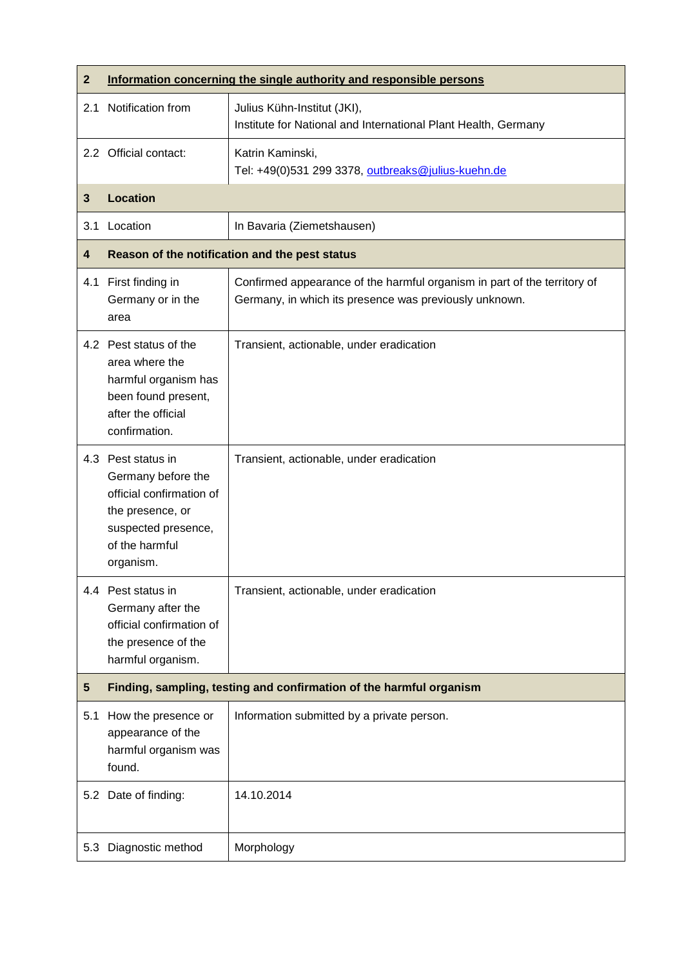| $\mathbf{2}$ | Information concerning the single authority and responsible persons                                                                            |                                                                                                                                    |  |
|--------------|------------------------------------------------------------------------------------------------------------------------------------------------|------------------------------------------------------------------------------------------------------------------------------------|--|
| 2.1          | Notification from                                                                                                                              | Julius Kühn-Institut (JKI),<br>Institute for National and International Plant Health, Germany                                      |  |
|              | 2.2 Official contact:                                                                                                                          | Katrin Kaminski,<br>Tel: +49(0)531 299 3378, outbreaks@julius-kuehn.de                                                             |  |
| 3            | <b>Location</b>                                                                                                                                |                                                                                                                                    |  |
| 3.1          | Location                                                                                                                                       | In Bavaria (Ziemetshausen)                                                                                                         |  |
| 4            | Reason of the notification and the pest status                                                                                                 |                                                                                                                                    |  |
|              | 4.1 First finding in<br>Germany or in the<br>area                                                                                              | Confirmed appearance of the harmful organism in part of the territory of<br>Germany, in which its presence was previously unknown. |  |
|              | 4.2 Pest status of the<br>area where the<br>harmful organism has<br>been found present,<br>after the official<br>confirmation.                 | Transient, actionable, under eradication                                                                                           |  |
|              | 4.3 Pest status in<br>Germany before the<br>official confirmation of<br>the presence, or<br>suspected presence,<br>of the harmful<br>organism. | Transient, actionable, under eradication                                                                                           |  |
|              | 4.4 Pest status in<br>Germany after the<br>official confirmation of<br>the presence of the<br>harmful organism.                                | Transient, actionable, under eradication                                                                                           |  |
| $\sqrt{5}$   | Finding, sampling, testing and confirmation of the harmful organism                                                                            |                                                                                                                                    |  |
| 5.1          | How the presence or<br>appearance of the<br>harmful organism was<br>found.                                                                     | Information submitted by a private person.                                                                                         |  |
|              | 5.2 Date of finding:                                                                                                                           | 14.10.2014                                                                                                                         |  |
| 5.3          | Diagnostic method                                                                                                                              | Morphology                                                                                                                         |  |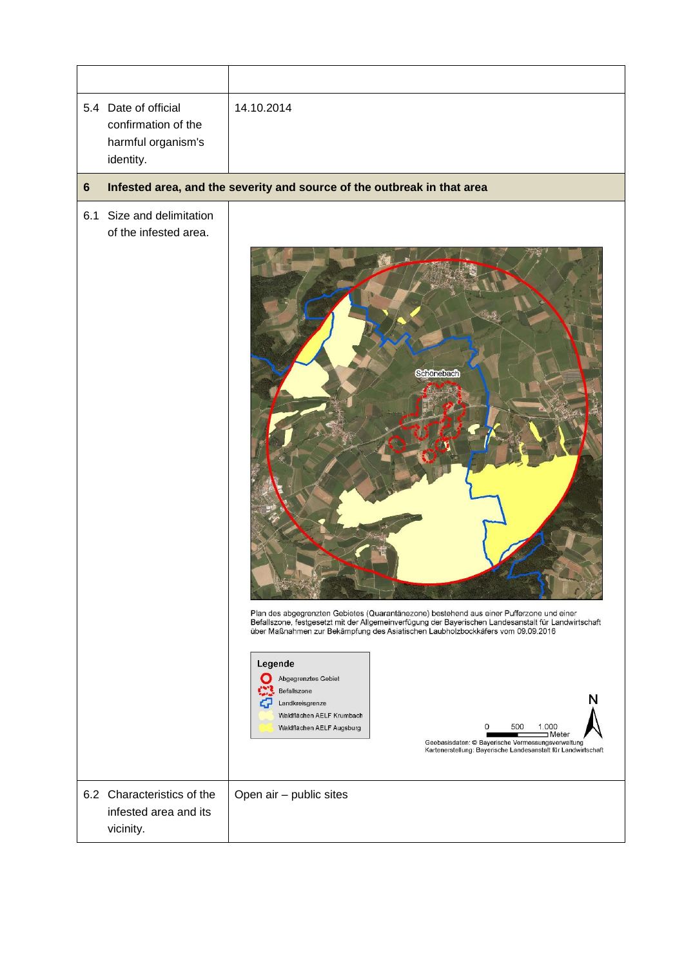| 5.4 | Date of official<br>confirmation of the<br>harmful organism's<br>identity. | 14.10.2014                                                                                                                                                                                                                                                                                                                                                                                                                                                                                                                                                                           |
|-----|----------------------------------------------------------------------------|--------------------------------------------------------------------------------------------------------------------------------------------------------------------------------------------------------------------------------------------------------------------------------------------------------------------------------------------------------------------------------------------------------------------------------------------------------------------------------------------------------------------------------------------------------------------------------------|
| 6   |                                                                            | Infested area, and the severity and source of the outbreak in that area                                                                                                                                                                                                                                                                                                                                                                                                                                                                                                              |
| 6.1 | Size and delimitation<br>of the infested area.                             | Schönebach<br>Plan des abgegrenzten Gebietes (Quarantänezone) bestehend aus einer Pufferzone und einer<br>Befallszone, festgesetzt mit der Allgemeinverfügung der Bayerischen Landesanstalt für Landwirtschaft<br>über Maßnahmen zur Bekämpfung des Asiatischen Laubholzbockkäfers vom 09.09.2016<br>Legende<br>Abgegrenztes Gebiet<br>Befallszone<br>Landkreisgrenze<br>Waldflächen AELF Krumbach<br>500<br>0<br>1.000<br>Waldflächen AELF Augsburg<br>⊐Meter<br>Geobasisdaten: @ Bayerische Vermessungsverwaltung<br>Kartenerstellung: Bayerische Landesanstalt für Landwirtschaft |
|     | 6.2 Characteristics of the<br>infested area and its<br>vicinity.           | Open air - public sites                                                                                                                                                                                                                                                                                                                                                                                                                                                                                                                                                              |